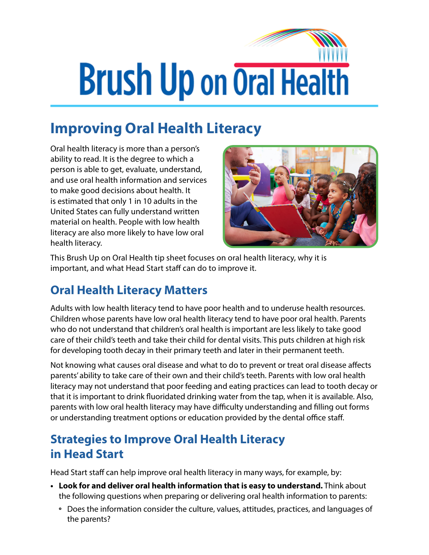## **Brush Up on Oral Health**

## **Improving Oral Health Literacy**

Oral health literacy is more than a person's ability to read. It is the degree to which a person is able to get, evaluate, understand, and use oral health information and services to make good decisions about health. It is estimated that only 1 in 10 adults in the United States can fully understand written material on health. People with low health literacy are also more likely to have low oral health literacy.



This Brush Up on Oral Health tip sheet focuses on oral health literacy, why it is important, and what Head Start staff can do to improve it.

## **Oral Health Literacy Matters**

Adults with low health literacy tend to have poor health and to underuse health resources. Children whose parents have low oral health literacy tend to have poor oral health. Parents who do not understand that children's oral health is important are less likely to take good care of their child's teeth and take their child for dental visits. This puts children at high risk for developing tooth decay in their primary teeth and later in their permanent teeth.

Not knowing what causes oral disease and what to do to prevent or treat oral disease affects parents' ability to take care of their own and their child's teeth. Parents with low oral health literacy may not understand that poor feeding and eating practices can lead to tooth decay or that it is important to drink fluoridated drinking water from the tap, when it is available. Also, parents with low oral health literacy may have difficulty understanding and filling out forms or understanding treatment options or education provided by the dental office staff.

## **Strategies to Improve Oral Health Literacy in Head Start**

Head Start staff can help improve oral health literacy in many ways, for example, by:

- **• Look for and deliver oral health information that is easy to understand.** Think about the following questions when preparing or delivering oral health information to parents:
	- **º** Does the information consider the culture, values, attitudes, practices, and languages of the parents?